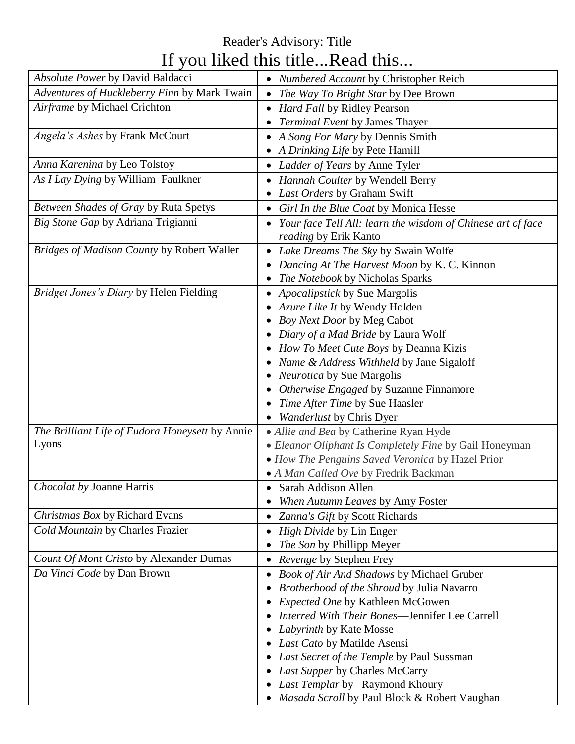## Reader's Advisory: Title If you liked this title...Read this...

| Absolute Power by David Baldacci                | • Numbered Account by Christopher Reich                     |
|-------------------------------------------------|-------------------------------------------------------------|
| Adventures of Huckleberry Finn by Mark Twain    | The Way To Bright Star by Dee Brown                         |
| Airframe by Michael Crichton                    | <b>Hard Fall by Ridley Pearson</b>                          |
|                                                 | Terminal Event by James Thayer                              |
| Angela's Ashes by Frank McCourt                 | A Song For Mary by Dennis Smith                             |
|                                                 | A Drinking Life by Pete Hamill                              |
| Anna Karenina by Leo Tolstoy                    | • Ladder of Years by Anne Tyler                             |
| As I Lay Dying by William Faulkner              | Hannah Coulter by Wendell Berry                             |
|                                                 | Last Orders by Graham Swift                                 |
| Between Shades of Gray by Ruta Spetys           | Girl In the Blue Coat by Monica Hesse                       |
| Big Stone Gap by Adriana Trigianni              | Your face Tell All: learn the wisdom of Chinese art of face |
|                                                 | reading by Erik Kanto                                       |
| Bridges of Madison County by Robert Waller      | • Lake Dreams The Sky by Swain Wolfe                        |
|                                                 | Dancing At The Harvest Moon by K. C. Kinnon                 |
|                                                 | The Notebook by Nicholas Sparks                             |
| Bridget Jones's Diary by Helen Fielding         | Apocalipstick by Sue Margolis                               |
|                                                 | Azure Like It by Wendy Holden                               |
|                                                 | Boy Next Door by Meg Cabot                                  |
|                                                 | Diary of a Mad Bride by Laura Wolf                          |
|                                                 | How To Meet Cute Boys by Deanna Kizis                       |
|                                                 | Name & Address Withheld by Jane Sigaloff                    |
|                                                 | Neurotica by Sue Margolis                                   |
|                                                 | Otherwise Engaged by Suzanne Finnamore                      |
|                                                 | Time After Time by Sue Haasler                              |
|                                                 | <b>Wanderlust by Chris Dyer</b>                             |
| The Brilliant Life of Eudora Honeysett by Annie | · Allie and Bea by Catherine Ryan Hyde                      |
| Lyons                                           | • Eleanor Oliphant Is Completely Fine by Gail Honeyman      |
|                                                 | • How The Penguins Saved Veronica by Hazel Prior            |
|                                                 | · A Man Called Ove by Fredrik Backman                       |
| Chocolat by Joanne Harris                       | • Sarah Addison Allen                                       |
|                                                 | When Autumn Leaves by Amy Foster                            |
| Christmas Box by Richard Evans                  | • Zanna's Gift by Scott Richards                            |
| Cold Mountain by Charles Frazier                | <i>High Divide</i> by Lin Enger                             |
|                                                 | The Son by Phillipp Meyer                                   |
| Count Of Mont Cristo by Alexander Dumas         | • Revenge by Stephen Frey                                   |
| Da Vinci Code by Dan Brown                      | <b>Book of Air And Shadows by Michael Gruber</b>            |
|                                                 | Brotherhood of the Shroud by Julia Navarro                  |
|                                                 | Expected One by Kathleen McGowen                            |
|                                                 | Interred With Their Bones-Jennifer Lee Carrell              |
|                                                 | Labyrinth by Kate Mosse                                     |
|                                                 | Last Cato by Matilde Asensi                                 |
|                                                 | Last Secret of the Temple by Paul Sussman                   |
|                                                 | • Last Supper by Charles McCarry                            |
|                                                 | • Last Templar by Raymond Khoury                            |
|                                                 | Masada Scroll by Paul Block & Robert Vaughan                |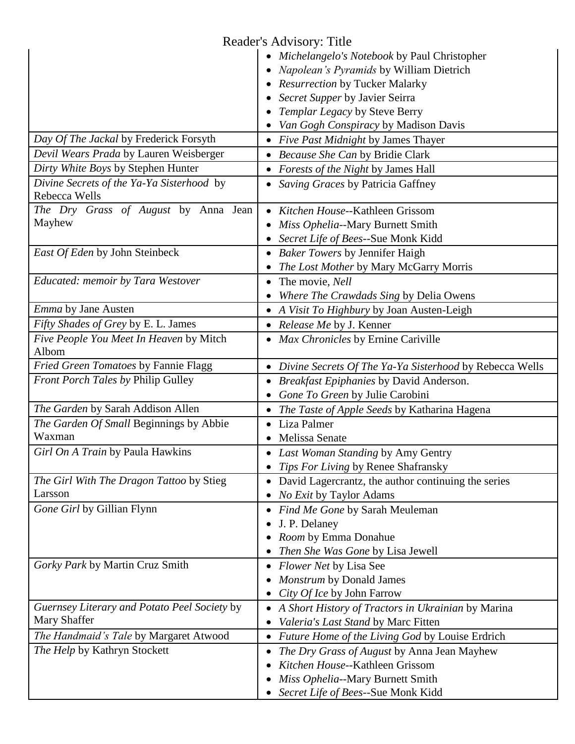|                                                            | Reader's Advisory: Title                                  |
|------------------------------------------------------------|-----------------------------------------------------------|
|                                                            | • Michelangelo's Notebook by Paul Christopher             |
|                                                            | Napolean's Pyramids by William Dietrich                   |
|                                                            | • Resurrection by Tucker Malarky                          |
|                                                            | Secret Supper by Javier Seirra                            |
|                                                            | Templar Legacy by Steve Berry                             |
|                                                            | Van Gogh Conspiracy by Madison Davis                      |
| Day Of The Jackal by Frederick Forsyth                     | • Five Past Midnight by James Thayer                      |
| Devil Wears Prada by Lauren Weisberger                     | • Because She Can by Bridie Clark                         |
| Dirty White Boys by Stephen Hunter                         | • Forests of the Night by James Hall                      |
| Divine Secrets of the Ya-Ya Sisterhood by<br>Rebecca Wells | Saving Graces by Patricia Gaffney                         |
| The Dry Grass of August by Anna Jean                       | Kitchen House--Kathleen Grissom                           |
| Mayhew                                                     | Miss Ophelia--Mary Burnett Smith                          |
|                                                            | • Secret Life of Bees--Sue Monk Kidd                      |
| East Of Eden by John Steinbeck                             | • Baker Towers by Jennifer Haigh                          |
|                                                            | The Lost Mother by Mary McGarry Morris                    |
| Educated: memoir by Tara Westover                          | The movie, <i>Nell</i>                                    |
|                                                            | Where The Crawdads Sing by Delia Owens                    |
| Emma by Jane Austen                                        | • A Visit To Highbury by Joan Austen-Leigh                |
| Fifty Shades of Grey by E. L. James                        | • Release Me by J. Kenner                                 |
| Five People You Meet In Heaven by Mitch<br>Albom           | • Max Chronicles by Ernine Cariville                      |
| Fried Green Tomatoes by Fannie Flagg                       | • Divine Secrets Of The Ya-Ya Sisterhood by Rebecca Wells |
| Front Porch Tales by Philip Gulley                         | Breakfast Epiphanies by David Anderson.                   |
|                                                            | Gone To Green by Julie Carobini                           |
| The Garden by Sarah Addison Allen                          | The Taste of Apple Seeds by Katharina Hagena              |
| The Garden Of Small Beginnings by Abbie                    | Liza Palmer                                               |
| Waxman                                                     | • Melissa Senate                                          |
| Girl On A Train by Paula Hawkins                           | • Last Woman Standing by Amy Gentry                       |
|                                                            | • Tips For Living by Renee Shafransky                     |
| The Girl With The Dragon Tattoo by Stieg                   | David Lagercrantz, the author continuing the series       |
| Larsson                                                    | No Exit by Taylor Adams                                   |
| Gone Girl by Gillian Flynn                                 | Find Me Gone by Sarah Meuleman                            |
|                                                            | J. P. Delaney                                             |
|                                                            | Room by Emma Donahue                                      |
|                                                            | Then She Was Gone by Lisa Jewell                          |
| Gorky Park by Martin Cruz Smith                            | <i>Flower Net</i> by Lisa See                             |
|                                                            | Monstrum by Donald James                                  |
|                                                            | City Of Ice by John Farrow                                |
| Guernsey Literary and Potato Peel Society by               | A Short History of Tractors in Ukrainian by Marina        |
| Mary Shaffer                                               | Valeria's Last Stand by Marc Fitten                       |
| The Handmaid's Tale by Margaret Atwood                     | Future Home of the Living God by Louise Erdrich           |
| The Help by Kathryn Stockett                               | The Dry Grass of August by Anna Jean Mayhew               |
|                                                            | Kitchen House--Kathleen Grissom                           |
|                                                            | Miss Ophelia--Mary Burnett Smith                          |
|                                                            | Secret Life of Bees--Sue Monk Kidd                        |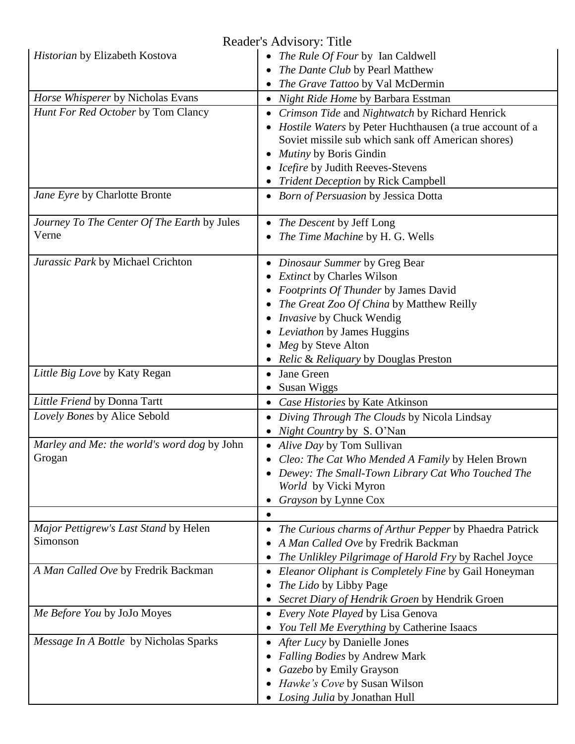| Reader's Advisory: Title                    |                                                                     |  |
|---------------------------------------------|---------------------------------------------------------------------|--|
| Historian by Elizabeth Kostova              | • The Rule Of Four by Ian Caldwell                                  |  |
|                                             | The Dante Club by Pearl Matthew                                     |  |
|                                             | The Grave Tattoo by Val McDermin                                    |  |
| Horse Whisperer by Nicholas Evans           | Night Ride Home by Barbara Esstman                                  |  |
| Hunt For Red October by Tom Clancy          | Crimson Tide and Nightwatch by Richard Henrick                      |  |
|                                             | <i>Hostile Waters</i> by Peter Huchthausen (a true account of a     |  |
|                                             | Soviet missile sub which sank off American shores)                  |  |
|                                             | Mutiny by Boris Gindin                                              |  |
|                                             | <i>Icefire</i> by Judith Reeves-Stevens                             |  |
|                                             |                                                                     |  |
|                                             | <b>Trident Deception by Rick Campbell</b>                           |  |
| Jane Eyre by Charlotte Bronte               | • Born of Persuasion by Jessica Dotta                               |  |
| Journey To The Center Of The Earth by Jules | The Descent by Jeff Long                                            |  |
| Verne                                       | The Time Machine by H. G. Wells                                     |  |
| Jurassic Park by Michael Crichton           | Dinosaur Summer by Greg Bear                                        |  |
|                                             | <b>Extinct by Charles Wilson</b>                                    |  |
|                                             | Footprints Of Thunder by James David                                |  |
|                                             | The Great Zoo Of China by Matthew Reilly                            |  |
|                                             | Invasive by Chuck Wendig                                            |  |
|                                             | Leviathon by James Huggins                                          |  |
|                                             | Meg by Steve Alton                                                  |  |
|                                             | <i>Relic &amp; Reliquary</i> by Douglas Preston                     |  |
| Little Big Love by Katy Regan               | Jane Green                                                          |  |
|                                             | Susan Wiggs                                                         |  |
| Little Friend by Donna Tartt                | Case Histories by Kate Atkinson                                     |  |
| Lovely Bones by Alice Sebold                | Diving Through The Clouds by Nicola Lindsay<br>$\bullet$            |  |
|                                             | <i>Night Country</i> by S. O'Nan                                    |  |
| Marley and Me: the world's word dog by John | • Alive Day by Tom Sullivan                                         |  |
| Grogan                                      | Cleo: The Cat Who Mended A Family by Helen Brown                    |  |
|                                             | Dewey: The Small-Town Library Cat Who Touched The                   |  |
|                                             | World by Vicki Myron                                                |  |
|                                             | Grayson by Lynne Cox                                                |  |
|                                             |                                                                     |  |
| Major Pettigrew's Last Stand by Helen       | The Curious charms of Arthur Pepper by Phaedra Patrick<br>$\bullet$ |  |
| Simonson                                    | A Man Called Ove by Fredrik Backman                                 |  |
|                                             | The Unlikley Pilgrimage of Harold Fry by Rachel Joyce               |  |
| A Man Called Ove by Fredrik Backman         | Eleanor Oliphant is Completely Fine by Gail Honeyman                |  |
|                                             | The Lido by Libby Page                                              |  |
|                                             |                                                                     |  |
| Me Before You by JoJo Moyes                 | Secret Diary of Hendrik Groen by Hendrik Groen                      |  |
|                                             | Every Note Played by Lisa Genova                                    |  |
|                                             | You Tell Me Everything by Catherine Isaacs                          |  |
| Message In A Bottle by Nicholas Sparks      | After Lucy by Danielle Jones                                        |  |
|                                             | Falling Bodies by Andrew Mark                                       |  |
|                                             | Gazebo by Emily Grayson                                             |  |
|                                             | Hawke's Cove by Susan Wilson                                        |  |
|                                             | Losing Julia by Jonathan Hull                                       |  |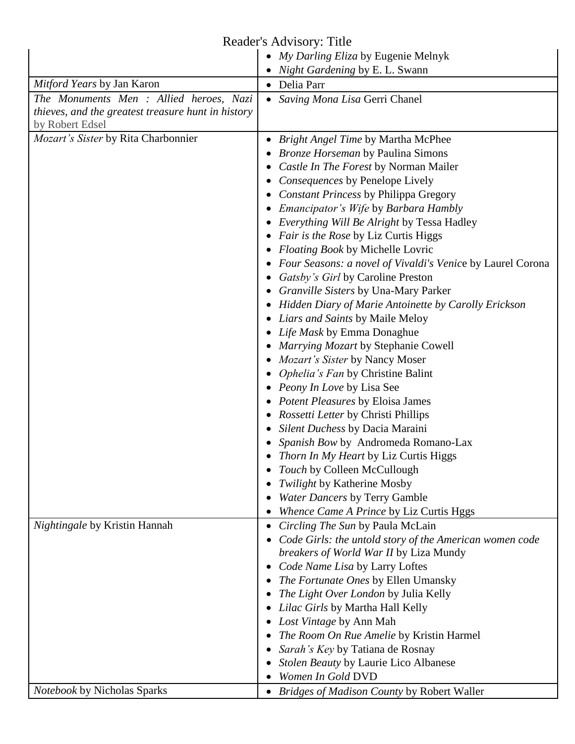## Reader's Advisory: Title

|                                                    | • My Darling Eliza by Eugenie Melnyk                       |
|----------------------------------------------------|------------------------------------------------------------|
|                                                    | Night Gardening by E. L. Swann                             |
| Mitford Years by Jan Karon                         | • Delia Parr                                               |
| The Monuments Men : Allied heroes, Nazi            | • Saving Mona Lisa Gerri Chanel                            |
| thieves, and the greatest treasure hunt in history |                                                            |
| by Robert Edsel                                    |                                                            |
| Mozart's Sister by Rita Charbonnier                | <b>Bright Angel Time by Martha McPhee</b>                  |
|                                                    | <b>Bronze Horseman by Paulina Simons</b>                   |
|                                                    | Castle In The Forest by Norman Mailer                      |
|                                                    | Consequences by Penelope Lively                            |
|                                                    | <b>Constant Princess by Philippa Gregory</b>               |
|                                                    | • Emancipator's Wife by Barbara Hambly                     |
|                                                    | • Everything Will Be Alright by Tessa Hadley               |
|                                                    | <i>Fair is the Rose by Liz Curtis Higgs</i>                |
|                                                    | Floating Book by Michelle Lovric                           |
|                                                    | Four Seasons: a novel of Vivaldi's Venice by Laurel Corona |
|                                                    | Gatsby's Girl by Caroline Preston                          |
|                                                    | Granville Sisters by Una-Mary Parker                       |
|                                                    | Hidden Diary of Marie Antoinette by Carolly Erickson       |
|                                                    | Liars and Saints by Maile Meloy                            |
|                                                    | • Life Mask by Emma Donaghue                               |
|                                                    | • Marrying Mozart by Stephanie Cowell                      |
|                                                    | <i>Mozart's Sister by Nancy Moser</i>                      |
|                                                    | <i>Ophelia's Fan</i> by Christine Balint                   |
|                                                    | • Peony In Love by Lisa See                                |
|                                                    | • Potent Pleasures by Eloisa James                         |
|                                                    | Rossetti Letter by Christi Phillips                        |
|                                                    | Silent Duchess by Dacia Maraini                            |
|                                                    | Spanish Bow by Andromeda Romano-Lax                        |
|                                                    | • Thorn In My Heart by Liz Curtis Higgs                    |
|                                                    | Touch by Colleen McCullough                                |
|                                                    | Twilight by Katherine Mosby                                |
|                                                    | <b>Water Dancers by Terry Gamble</b>                       |
|                                                    | Whence Came A Prince by Liz Curtis Hggs                    |
| Nightingale by Kristin Hannah                      | Circling The Sun by Paula McLain                           |
|                                                    | Code Girls: the untold story of the American women code    |
|                                                    | breakers of World War II by Liza Mundy                     |
|                                                    | Code Name Lisa by Larry Loftes                             |
|                                                    | The Fortunate Ones by Ellen Umansky                        |
|                                                    | The Light Over London by Julia Kelly                       |
|                                                    | • Lilac Girls by Martha Hall Kelly                         |
|                                                    | Lost Vintage by Ann Mah                                    |
|                                                    | The Room On Rue Amelie by Kristin Harmel                   |
|                                                    | Sarah's Key by Tatiana de Rosnay                           |
|                                                    | Stolen Beauty by Laurie Lico Albanese                      |
|                                                    | Women In Gold DVD                                          |
| Notebook by Nicholas Sparks                        | • Bridges of Madison County by Robert Waller               |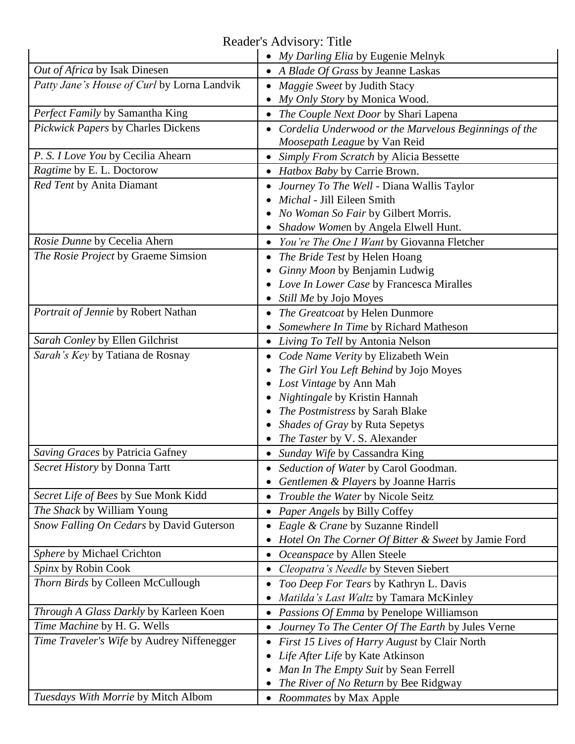Reader's Advisory: Title

|                                             | • My Darling Elia by Eugenie Melnyk                   |
|---------------------------------------------|-------------------------------------------------------|
| Out of Africa by Isak Dinesen               | • A Blade Of Grass by Jeanne Laskas                   |
| Patty Jane's House of Curl by Lorna Landvik | Maggie Sweet by Judith Stacy                          |
|                                             | My Only Story by Monica Wood.                         |
| Perfect Family by Samantha King             | The Couple Next Door by Shari Lapena                  |
| Pickwick Papers by Charles Dickens          | Cordelia Underwood or the Marvelous Beginnings of the |
|                                             | Moosepath League by Van Reid                          |
| P. S. I Love You by Cecilia Ahearn          | Simply From Scratch by Alicia Bessette                |
| Ragtime by E. L. Doctorow                   | <i>Hatbox Baby by Carrie Brown.</i>                   |
| Red Tent by Anita Diamant                   | Journey To The Well - Diana Wallis Taylor             |
|                                             | Michal - Jill Eileen Smith                            |
|                                             | No Woman So Fair by Gilbert Morris.                   |
|                                             | Shadow Women by Angela Elwell Hunt.                   |
| Rosie Dunne by Cecelia Ahern                | You're The One I Want by Giovanna Fletcher            |
| The Rosie Project by Graeme Simsion         | The Bride Test by Helen Hoang                         |
|                                             | Ginny Moon by Benjamin Ludwig                         |
|                                             | Love In Lower Case by Francesca Miralles              |
|                                             | Still Me by Jojo Moyes                                |
| Portrait of Jennie by Robert Nathan         | The Greatcoat by Helen Dunmore                        |
|                                             | Somewhere In Time by Richard Matheson                 |
| Sarah Conley by Ellen Gilchrist             | Living To Tell by Antonia Nelson                      |
| Sarah's Key by Tatiana de Rosnay            | Code Name Verity by Elizabeth Wein                    |
|                                             | The Girl You Left Behind by Jojo Moyes                |
|                                             | Lost Vintage by Ann Mah                               |
|                                             | Nightingale by Kristin Hannah                         |
|                                             | The Postmistress by Sarah Blake                       |
|                                             | Shades of Gray by Ruta Sepetys                        |
|                                             | The Taster by V. S. Alexander                         |
| Saving Graces by Patricia Gafney            | Sunday Wife by Cassandra King                         |
| Secret History by Donna Tartt               | Seduction of Water by Carol Goodman.                  |
| Secret Life of Bees by Sue Monk Kidd        | Gentlemen & Players by Joanne Harris                  |
|                                             | Trouble the Water by Nicole Seitz                     |
| The Shack by William Young                  | Paper Angels by Billy Coffey                          |
| Snow Falling On Cedars by David Guterson    | Eagle & Crane by Suzanne Rindell                      |
|                                             | Hotel On The Corner Of Bitter & Sweet by Jamie Ford   |
| Sphere by Michael Crichton                  | Oceanspace by Allen Steele                            |
| Spinx by Robin Cook                         | Cleopatra's Needle by Steven Siebert                  |
| Thorn Birds by Colleen McCullough           | Too Deep For Tears by Kathryn L. Davis                |
|                                             | Matilda's Last Waltz by Tamara McKinley               |
| Through A Glass Darkly by Karleen Koen      | Passions Of Emma by Penelope Williamson               |
| Time Machine by H. G. Wells                 | Journey To The Center Of The Earth by Jules Verne     |
| Time Traveler's Wife by Audrey Niffenegger  | First 15 Lives of Harry August by Clair North         |
|                                             | Life After Life by Kate Atkinson                      |
|                                             | Man In The Empty Suit by Sean Ferrell                 |
|                                             | The River of No Return by Bee Ridgway                 |
| Tuesdays With Morrie by Mitch Albom         | • Roommates by Max Apple                              |